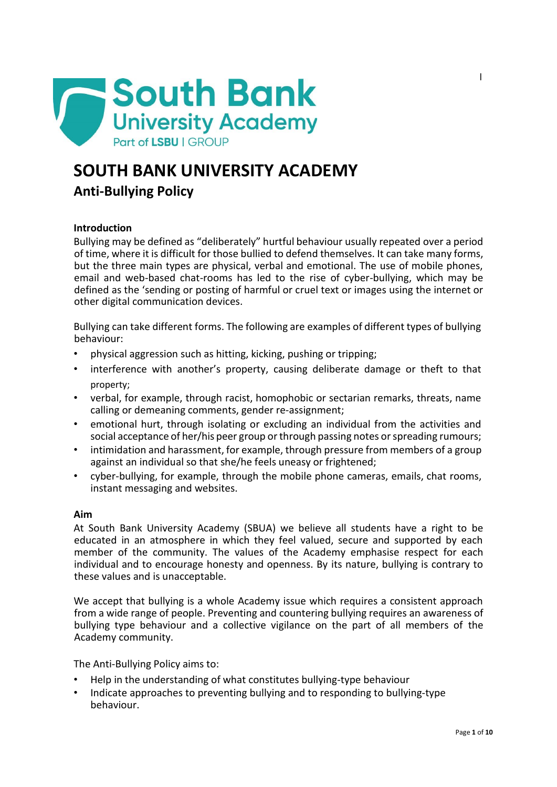

# **SOUTH BANK UNIVERSITY ACADEMY**

# **Anti-Bullying Policy**

# **Introduction**

Bullying may be defined as "deliberately" hurtful behaviour usually repeated over a period of time, where it is difficult for those bullied to defend themselves. It can take many forms, but the three main types are physical, verbal and emotional. The use of mobile phones, email and web-based chat-rooms has led to the rise of cyber-bullying, which may be defined as the 'sending or posting of harmful or cruel text or images using the internet or other digital communication devices.

Bullying can take different forms. The following are examples of different types of bullying behaviour:

- physical aggression such as hitting, kicking, pushing or tripping;
- interference with another's property, causing deliberate damage or theft to that property;
- verbal, for example, through racist, homophobic or sectarian remarks, threats, name calling or demeaning comments, gender re-assignment;
- emotional hurt, through isolating or excluding an individual from the activities and social acceptance of her/his peer group or through passing notes or spreading rumours;
- intimidation and harassment, for example, through pressure from members of a group against an individual so that she/he feels uneasy or frightened;
- cyber-bullying, for example, through the mobile phone cameras, emails, chat rooms, instant messaging and websites.

# **Aim**

At South Bank University Academy (SBUA) we believe all students have a right to be educated in an atmosphere in which they feel valued, secure and supported by each member of the community. The values of the Academy emphasise respect for each individual and to encourage honesty and openness. By its nature, bullying is contrary to these values and is unacceptable.

We accept that bullying is a whole Academy issue which requires a consistent approach from a wide range of people. Preventing and countering bullying requires an awareness of bullying type behaviour and a collective vigilance on the part of all members of the Academy community.

The Anti-Bullying Policy aims to:

- Help in the understanding of what constitutes bullying-type behaviour
- Indicate approaches to preventing bullying and to responding to bullying-type behaviour.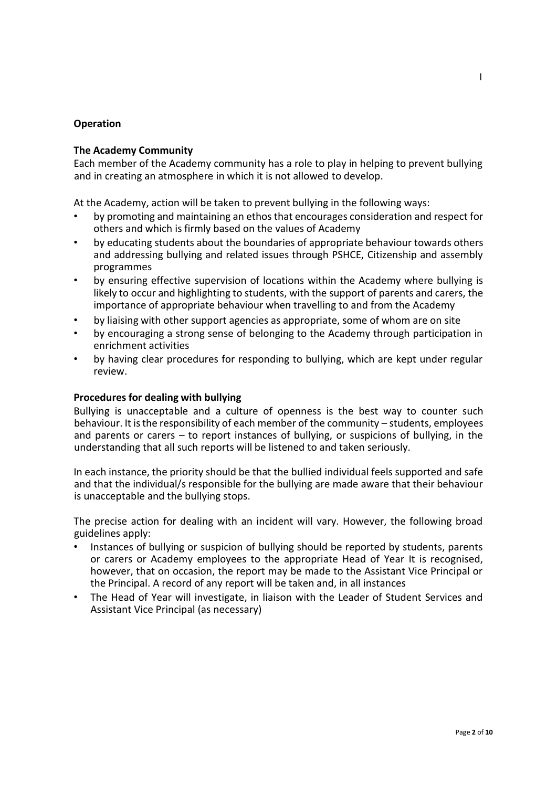#### **Operation**

#### **The Academy Community**

Each member of the Academy community has a role to play in helping to prevent bullying and in creating an atmosphere in which it is not allowed to develop.

At the Academy, action will be taken to prevent bullying in the following ways:

- by promoting and maintaining an ethos that encourages consideration and respect for others and which is firmly based on the values of Academy
- by educating students about the boundaries of appropriate behaviour towards others and addressing bullying and related issues through PSHCE, Citizenship and assembly programmes
- by ensuring effective supervision of locations within the Academy where bullying is likely to occur and highlighting to students, with the support of parents and carers, the importance of appropriate behaviour when travelling to and from the Academy
- by liaising with other support agencies as appropriate, some of whom are on site
- by encouraging a strong sense of belonging to the Academy through participation in enrichment activities
- by having clear procedures for responding to bullying, which are kept under regular review.

#### **Procedures for dealing with bullying**

Bullying is unacceptable and a culture of openness is the best way to counter such behaviour. It is the responsibility of each member of the community - students, employees and parents or carers – to report instances of bullying, or suspicions of bullying, in the understanding that all such reports will be listened to and taken seriously.

In each instance, the priority should be that the bullied individual feels supported and safe and that the individual/s responsible for the bullying are made aware that their behaviour is unacceptable and the bullying stops.

The precise action for dealing with an incident will vary. However, the following broad guidelines apply:

- Instances of bullying or suspicion of bullying should be reported by students, parents or carers or Academy employees to the appropriate Head of Year It is recognised, however, that on occasion, the report may be made to the Assistant Vice Principal or the Principal. A record of any report will be taken and, in all instances
- The Head of Year will investigate, in liaison with the Leader of Student Services and Assistant Vice Principal (as necessary)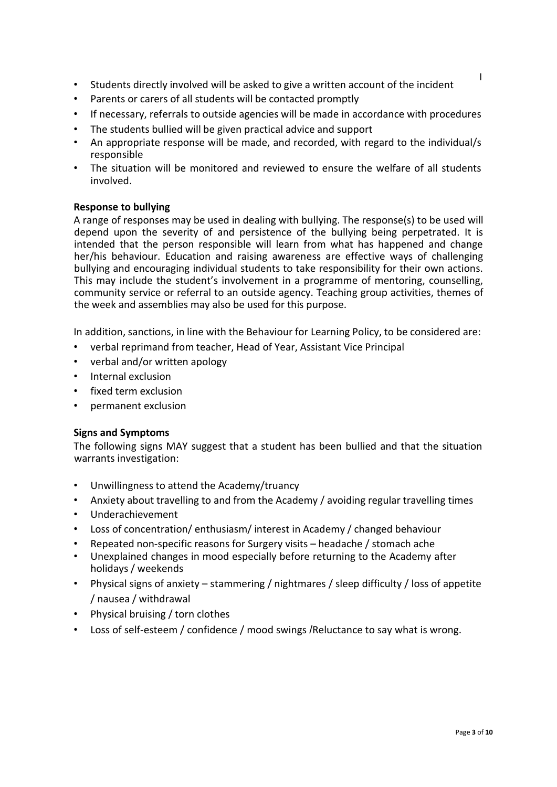- Students directly involved will be asked to give a written account of the incident
- Parents or carers of all students will be contacted promptly
- If necessary, referrals to outside agencies will be made in accordance with procedures
- The students bullied will be given practical advice and support
- An appropriate response will be made, and recorded, with regard to the individual/s responsible
- The situation will be monitored and reviewed to ensure the welfare of all students involved.

# **Response to bullying**

A range of responses may be used in dealing with bullying. The response(s) to be used will depend upon the severity of and persistence of the bullying being perpetrated. It is intended that the person responsible will learn from what has happened and change her/his behaviour. Education and raising awareness are effective ways of challenging bullying and encouraging individual students to take responsibility for their own actions. This may include the student's involvement in a programme of mentoring, counselling, community service or referral to an outside agency. Teaching group activities, themes of the week and assemblies may also be used for this purpose.

In addition, sanctions, in line with the Behaviour for Learning Policy, to be considered are:

- verbal reprimand from teacher, Head of Year, Assistant Vice Principal
- verbal and/or written apology
- Internal exclusion
- fixed term exclusion
- permanent exclusion

# **Signs and Symptoms**

The following signs MAY suggest that a student has been bullied and that the situation warrants investigation:

- Unwillingness to attend the Academy/truancy
- Anxiety about travelling to and from the Academy / avoiding regular travelling times
- Underachievement
- Loss of concentration/ enthusiasm/ interest in Academy / changed behaviour
- Repeated non-specific reasons for Surgery visits headache / stomach ache
- Unexplained changes in mood especially before returning to the Academy after holidays / weekends
- Physical signs of anxiety stammering / nightmares / sleep difficulty / loss of appetite / nausea / withdrawal
- Physical bruising / torn clothes
- Loss of self-esteem / confidence / mood swings /Reluctance to say what is wrong.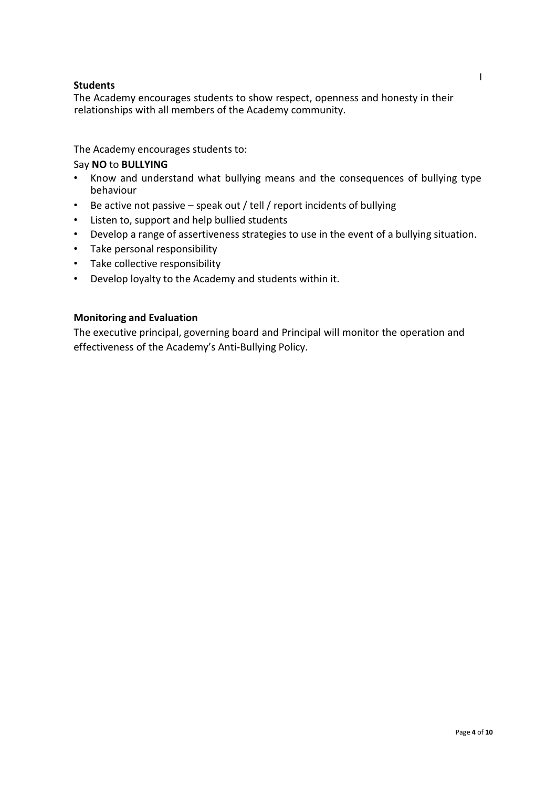# **Students**

The Academy encourages students to show respect, openness and honesty in their relationships with all members of the Academy community.

The Academy encourages students to:

# Say **NO** to **BULLYING**

- Know and understand what bullying means and the consequences of bullying type behaviour
- Be active not passive speak out / tell / report incidents of bullying
- Listen to, support and help bullied students
- Develop a range of assertiveness strategies to use in the event of a bullying situation.
- Take personal responsibility
- Take collective responsibility
- Develop loyalty to the Academy and students within it.

# **Monitoring and Evaluation**

The executive principal, governing board and Principal will monitor the operation and effectiveness of the Academy's Anti-Bullying Policy.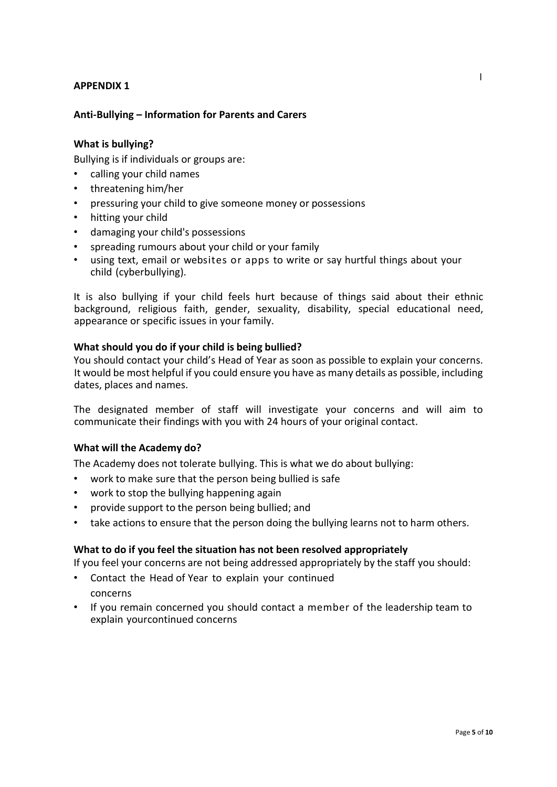# **Anti-Bullying – Information for Parents and Carers**

#### **What is bullying?**

Bullying is if individuals or groups are:

- calling your child names
- threatening him/her
- pressuring your child to give someone money or possessions
- hitting your child
- damaging your child's possessions
- spreading rumours about your child or your family
- using text, email or websites or apps to write or say hurtful things about your child (cyberbullying).

It is also bullying if your child feels hurt because of things said about their ethnic background, religious faith, gender, sexuality, disability, special educational need, appearance or specific issues in your family.

#### **What should you do if your child is being bullied?**

You should contact your child's Head of Year as soon as possible to explain your concerns. It would be most helpful if you could ensure you have as many details as possible, including dates, places and names.

The designated member of staff will investigate your concerns and will aim to communicate their findings with you with 24 hours of your original contact.

#### **What will the Academy do?**

The Academy does not tolerate bullying. This is what we do about bullying:

- work to make sure that the person being bullied is safe
- work to stop the bullying happening again
- provide support to the person being bullied; and
- take actions to ensure that the person doing the bullying learns not to harm others.

#### **What to do if you feel the situation has not been resolved appropriately**

If you feel your concerns are not being addressed appropriately by the staff you should:

- Contact the Head of Year to explain your continued concerns
- If you remain concerned you should contact a member of the leadership team to explain yourcontinued concerns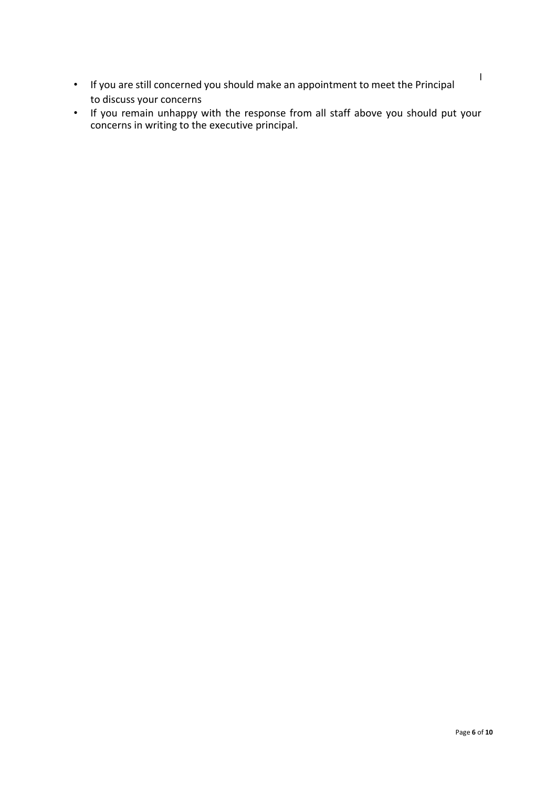- If you are still concerned you should make an appointment to meet the Principal to discuss your concerns
- If you remain unhappy with the response from all staff above you should put your concerns in writing to the executive principal.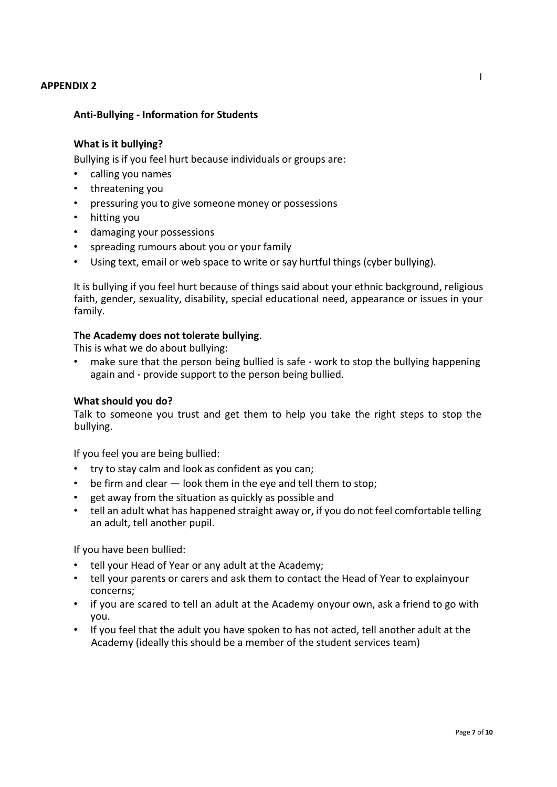# **Anti-Bullying - Information for Students**

#### **What is it bullying?**

Bullying is if you feel hurt because individuals or groups are:

- calling you names
- threatening you
- pressuring you to give someone money or possessions
- hitting you
- damaging your possessions
- spreading rumours about you or your family
- Using text, email or web space to write or say hurtful things (cyber bullying).

It is bullying if you feel hurt because of things said about your ethnic background, religious faith, gender, sexuality, disability, special educational need, appearance or issues in your family.

#### **The Academy does not tolerate bullying**.

This is what we do about bullying:

• make sure that the person being bullied is safe  $\cdot$  work to stop the bullying happening again and  $\cdot$  provide support to the person being bullied.

#### **What should you do?**

Talk to someone you trust and get them to help you take the right steps to stop the bullying.

If you feel you are being bullied:

- try to stay calm and look as confident as you can;
- be firm and clear look them in the eye and tell them to stop;
- get away from the situation as quickly as possible and
- tell an adult what has happened straight away or, if you do not feel comfortable telling an adult, tell another pupil.

If you have been bullied:

- tell your Head of Year or any adult at the Academy;
- tell your parents or carers and ask them to contact the Head of Year to explainyour concerns;
- if you are scared to tell an adult at the Academy onyour own, ask a friend to go with you.
- If you feel that the adult you have spoken to has not acted, tell another adult at the Academy (ideally this should be a member of the student services team)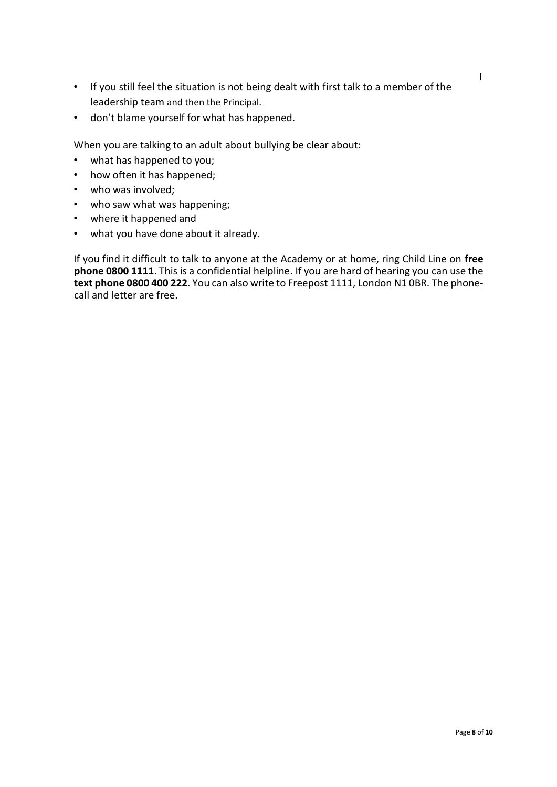- If you still feel the situation is not being dealt with first talk to a member of the leadership team and then the Principal.
- don't blame yourself for what has happened.

When you are talking to an adult about bullying be clear about:

- what has happened to you;
- how often it has happened;
- who was involved;
- who saw what was happening;
- where it happened and
- what you have done about it already.

If you find it difficult to talk to anyone at the Academy or at home, ring Child Line on **free phone 0800 1111**. This is a confidential helpline. If you are hard of hearing you can use the **text phone 0800 400 222**. You can also write to Freepost 1111, London N1 0BR. The phonecall and letter are free.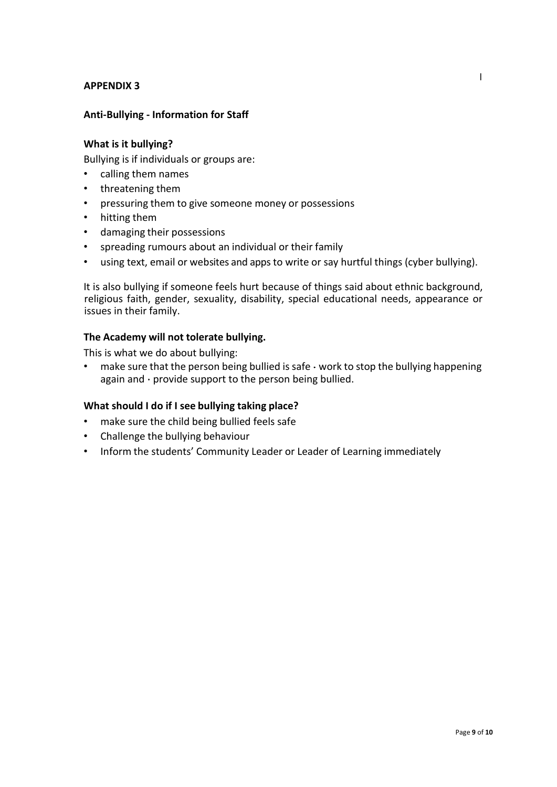# **Anti-Bullying - Information for Staff**

## **What is it bullying?**

Bullying is if individuals or groups are:

- calling them names
- threatening them
- pressuring them to give someone money or possessions
- hitting them
- damaging their possessions
- spreading rumours about an individual or their family
- using text, email or websites and appsto write or say hurtful things (cyber bullying).

It is also bullying if someone feels hurt because of things said about ethnic background, religious faith, gender, sexuality, disability, special educational needs, appearance or issues in their family.

## **The Academy will not tolerate bullying.**

This is what we do about bullying:

• make sure that the person being bullied is safe  $\cdot$  work to stop the bullying happening again and  $\cdot$  provide support to the person being bullied.

#### **What should I do if I see bullying taking place?**

- make sure the child being bullied feels safe
- Challenge the bullying behaviour
- Inform the students' Community Leader or Leader of Learning immediately